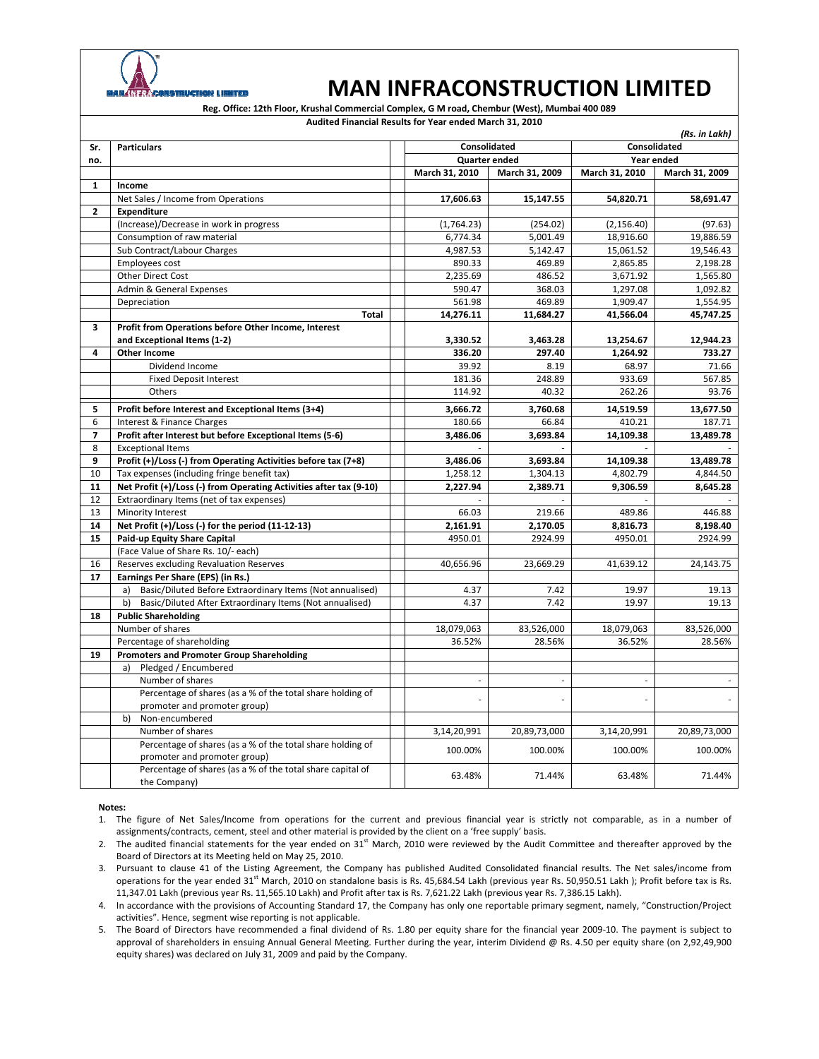

## **MAN INFRACONSTRUCTION LIMITED**

**Reg. Office: 12th Floor, Krushal Commercial Complex, G M road, Chembur (West), Mumbai 400 089**

**Notes: Audited Financial Results for Year ended March 31, 2010** *(Rs. in Lakh)* **Sr. no. Particulars Consolidated Consolidated Quarter ended Year ended March 31, 2010 March 31, 2009 March 31, 2010 March 31, 2009 1 Income** Net Sales / Income from Operations **17,606.63 15,147.55 54,820.71 58,691.47 2 Expenditure** (Increase)/Decrease in work in progress (254.02) (254.02) (2,156.40) (97.63) Consumption of raw material 6,774.34 5,001.49 18,916.60 19,886.59 Sub Contract/Labour Charges 19,546.43 Employees cost 890.33 200.33 2,865.85 2,198.28 Other Direct Cost 2,235.69 486.52 3,671.92 1,565.80 3,671.92 1,565.80 Admin & General Expenses 1,092.82<br>
1,092.82 1,092.82 1,092.82<br>
1,554.95 1,909.47 1,554.95 1,092.82 Depreciation 561.98 469.89 1,909.47 1,554.95 **Total 14,276.11 11,684.27 41,566.04 45,747.25 3 Profit from Operations before Other Income, Interest and Exceptional Items (1‐2) 3,330.52 3,463.28 13,254.67 12,944.23 4 Other Income 336.20 297.40 1,264.92 733.27** Dividend Income 2008 8.19 and 2008 8.19 and 2008 8.19 and 2008 8.19 and 2008 8.97 and 2008 8.97 and 2008 8.97 and 2008 8.97 and 2008 8.97 and 2008 8.97 and 2008 8.97 and 2008 8.97 and 2008 8.97 and 2008 8.97 and 2008 8.97 Fixed Deposit Interest 181.36 248.89 933.69 567.85 Others 114.92 40.32 262.26 93.76 **5 Profit before Interest and Exceptional Items (3+4) 3,666.72 3,760.68 14,519.59 13,677.50** 6 | Interest & Finance Charges 187.71 | 180.66 | 180.66 | 180.66 | 187.71 **7 Profit after Interest but before Exceptional Items (5‐6) 3,486.06 3,693.84 14,109.38 13,489.78** 8 Exceptional Items ‐ ‐ ‐ ‐ **9 Profit (+)/Loss (‐) from Operating Activities before tax (7+8) 3,486.06 3,693.84 14,109.38 13,489.78** 10 Tax expenses (including fringe benefit tax) 1,258.12 1,304.13 4,802.79 4,844.50 11 | Net Profit (+)/Loss (-) from Operating Activities after tax (9-10) | | 2,227.94 | 2,389.71 | 9,306.59 | 8,645.28 12 | Extraordinary Items (net of tax expenses 13 Minority Interest 66.03 219.66 489.86 446.88 **14 Net Profit (+)/Loss (‐) for the period (11‐12‐13) 2,161.91 2,170.05 8,816.73 8,198.40 15 Paid-up** Equity Share Capital **15 Paid-up** Equity Share Capital **1998.01 1998.01 2924.99 2924.99 2924.99 1998.01** (Face Value of Share Rs. 10/‐ each) 16 Reserves excluding Revaluation Reserves 40,656.96 40,656.96 23,669.29 41,639.12 24,143.75 **17 Earnings Per Share (EPS) (in Rs.)** a) Basic/Diluted Before Extraordinary Items (Not annualised) | 4.37 1 7.42 19.97 19.13 b) Basic/Diluted After Extraordinary Items (Not annualised) 4.37 7.42 19.97 19.13 **18 Public Shareholding** Number of shares 18,079,063 23,526,000 18,079,063 83,526,000 18,079,063 83,526,000 Percentage of shareholding 28.56% 28.56% 28.56% 36.52% 28.56% 28.56% 36.52% 28.56% **19 Promoters and Promoter Group Shareholding** a) Pledged / Encumbered Number of shares Percentage of shares (as a % of the total share holding of promoter and promoter group) ‐ ‐ ‐ ‐ b) Non‐encumbered Number of shares 3,14,20,991 20,89,73,000 3,14,20,991 3,14,20,991 20,89,73,000 3,14,20,991 20,89,73,000 Percentage of shares (as a % of the total share holding of promoter and promoter group) 100.00% 100.00% 100.00% 100.00% Percentage of shares (as a % of the total share capital of the Company)  $(53.48\%)$   $(63.48\%)$   $(63.48\%)$   $(63.48\%)$   $(63.48\%)$   $(63.48\%)$   $(71.44\%)$ 

1. The figure of Net Sales/Income from operations for the current and previous financial year is strictly not comparable, as in a number of assignments/contracts, cement, steel and other material is provided by the client on a 'free supply' basis.

2. The audited financial statements for the year ended on  $31<sup>st</sup>$  March, 2010 were reviewed by the Audit Committee and thereafter approved by the Board of Directors at its Meeting held on May 25, 2010.

3. Pursuant to clause 41 of the Listing Agreement, the Company has published Audited Consolidated financial results. The Net sales/income from operations for the year ended 31<sup>st</sup> March, 2010 on standalone basis is Rs. 45,684.54 Lakh (previous year Rs. 50,950.51 Lakh ); Profit before tax is Rs. 11,347.01 Lakh (previous year Rs. 11,565.10 Lakh) and Profit after tax is Rs. 7,621.22 Lakh (previous year Rs. 7,386.15 Lakh).

4. In accordance with the provisions of Accounting Standard 17, the Company has only one reportable primary segment, namely, "Construction/Project activities". Hence, segment wise reporting is not applicable.

5. The Board of Directors have recommended a final dividend of Rs. 1.80 per equity share for the financial year 2009‐10. The payment is subject to approval of shareholders in ensuing Annual General Meeting. Further during the year, interim Dividend @ Rs. 4.50 per equity share (on 2,92,49,900 equity shares) was declared on July 31, 2009 and paid by the Company.